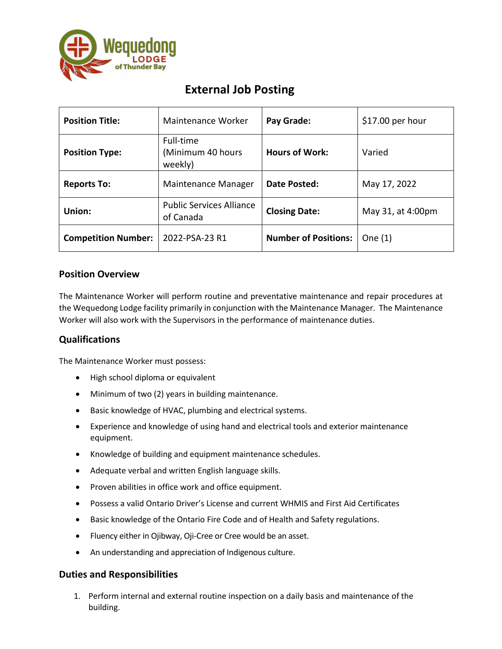

# **External Job Posting**

| <b>Position Title:</b>     | Maintenance Worker                           | Pay Grade:                  | \$17.00 per hour  |
|----------------------------|----------------------------------------------|-----------------------------|-------------------|
| <b>Position Type:</b>      | Full-time<br>(Minimum 40 hours<br>weekly)    | <b>Hours of Work:</b>       | Varied            |
| <b>Reports To:</b>         | Maintenance Manager                          | Date Posted:                | May 17, 2022      |
| Union:                     | <b>Public Services Alliance</b><br>of Canada | <b>Closing Date:</b>        | May 31, at 4:00pm |
| <b>Competition Number:</b> | 2022-PSA-23 R1                               | <b>Number of Positions:</b> | One $(1)$         |

## **Position Overview**

The Maintenance Worker will perform routine and preventative maintenance and repair procedures at the Wequedong Lodge facility primarily in conjunction with the Maintenance Manager. The Maintenance Worker will also work with the Supervisors in the performance of maintenance duties.

# **Qualifications**

The Maintenance Worker must possess:

- High school diploma or equivalent
- Minimum of two (2) years in building maintenance.
- Basic knowledge of HVAC, plumbing and electrical systems.
- Experience and knowledge of using hand and electrical tools and exterior maintenance equipment.
- Knowledge of building and equipment maintenance schedules.
- Adequate verbal and written English language skills.
- Proven abilities in office work and office equipment.
- Possess a valid Ontario Driver's License and current WHMIS and First Aid Certificates
- Basic knowledge of the Ontario Fire Code and of Health and Safety regulations.
- Fluency either in Ojibway, Oji-Cree or Cree would be an asset.
- An understanding and appreciation of Indigenous culture.

### **Duties and Responsibilities**

1. Perform internal and external routine inspection on a daily basis and maintenance of the building.